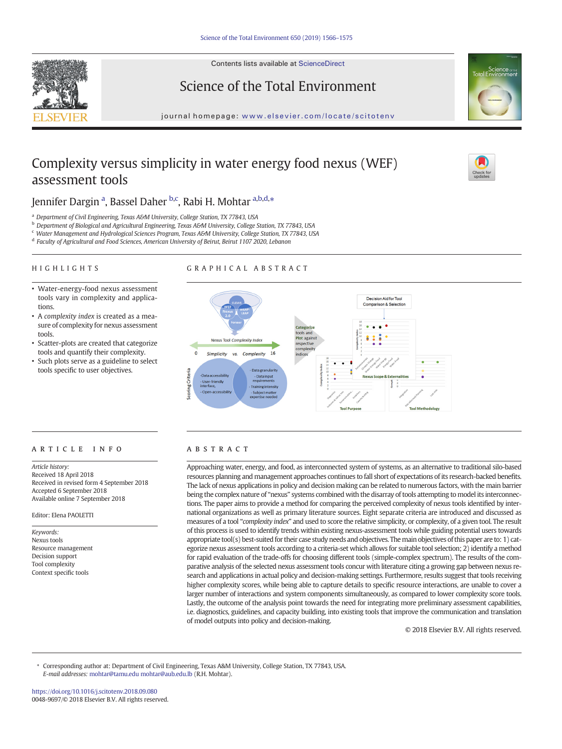Contents lists available at ScienceDirect





journal homepage: <www.elsevier.com/locate/scitotenv>

# Complexity versus simplicity in water energy food nexus (WEF) assessment tools



# Jennifer Dargin <sup>a</sup>, Bassel Daher <sup>b,c</sup>, Rabi H. Mohtar <sup>a,b,d,</sup>\*

<sup>a</sup> Department of Civil Engineering, Texas A&M University, College Station, TX 77843, USA

- <sup>b</sup> Department of Biological and Agricultural Engineering, Texas A&M University, College Station, TX 77843, USA
- <sup>c</sup> Water Management and Hydrological Sciences Program, Texas A&M University, College Station, TX 77843, USA
- <sup>d</sup> Faculty of Agricultural and Food Sciences, American University of Beirut, Beirut 1107 2020, Lebanon
- HIGHLIGHTS

## GRAPHICAL ABSTRACT

- Water-energy-food nexus assessment tools vary in complexity and applications.
- A complexity index is created as a measure of complexity for nexus assessment tools.
- Scatter-plots are created that categorize tools and quantify their complexity.
- Such plots serve as a guideline to select tools specific to user objectives.



# article info abstract

Article history: Received 18 April 2018 Received in revised form 4 September 2018 Accepted 6 September 2018 Available online 7 September 2018

Editor: Elena PAOLETTI

Keywords: Nexus tools Resource management Decision support Tool complexity Context specific tools

Approaching water, energy, and food, as interconnected system of systems, as an alternative to traditional silo-based resources planning and management approaches continues to fall short of expectations of its research-backed benefits. The lack of nexus applications in policy and decision making can be related to numerous factors, with the main barrier being the complex nature of "nexus" systems combined with the disarray of tools attempting to model its interconnections. The paper aims to provide a method for comparing the perceived complexity of nexus tools identified by international organizations as well as primary literature sources. Eight separate criteria are introduced and discussed as measures of a tool "complexity index" and used to score the relative simplicity, or complexity, of a given tool. The result of this process is used to identify trends within existing nexus-assessment tools while guiding potential users towards appropriate tool(s) best-suited for their case study needs and objectives. The main objectives of this paper are to: 1) categorize nexus assessment tools according to a criteria-set which allows for suitable tool selection; 2) identify a method for rapid evaluation of the trade-offs for choosing different tools (simple-complex spectrum). The results of the comparative analysis of the selected nexus assessment tools concur with literature citing a growing gap between nexus research and applications in actual policy and decision-making settings. Furthermore, results suggest that tools receiving higher complexity scores, while being able to capture details to specific resource interactions, are unable to cover a larger number of interactions and system components simultaneously, as compared to lower complexity score tools. Lastly, the outcome of the analysis point towards the need for integrating more preliminary assessment capabilities, i.e. diagnostics, guidelines, and capacity building, into existing tools that improve the communication and translation of model outputs into policy and decision-making.

© 2018 Elsevier B.V. All rights reserved.

⁎ Corresponding author at: Department of Civil Engineering, Texas A&M University, College Station, TX 77843, USA. E-mail addresses: mohtar@tamu.edu<mohtar@aub.edu.lb> (R.H. Mohtar).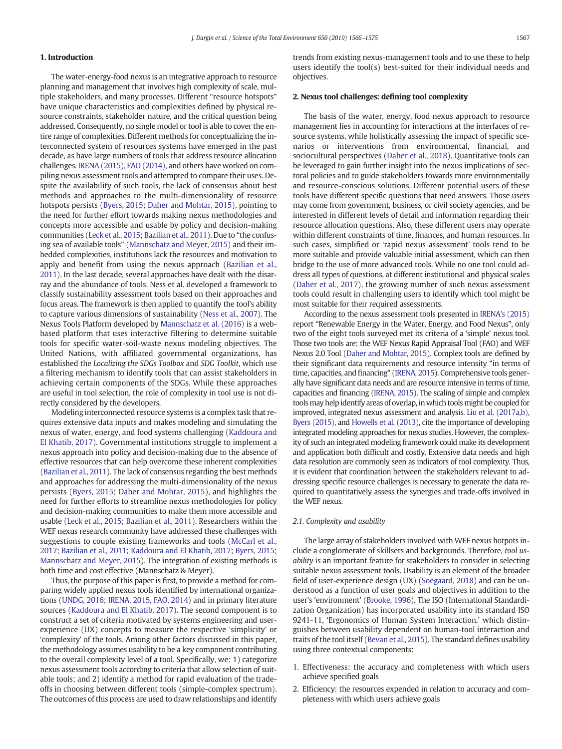# 1. Introduction

The water-energy-food nexus is an integrative approach to resource planning and management that involves high complexity of scale, multiple stakeholders, and many processes. Different "resource hotspots" have unique characteristics and complexities defined by physical resource constraints, stakeholder nature, and the critical question being addressed. Consequently, no single model or tool is able to cover the entire range of complexities. Different methods for conceptualizing the interconnected system of resources systems have emerged in the past decade, as have large numbers of tools that address resource allocation challenges. [IRENA \(2015\)](#page-9-0), [FAO \(2014\)](#page-8-0), and others have worked on compiling nexus assessment tools and attempted to compare their uses. Despite the availability of such tools, the lack of consensus about best methods and approaches to the multi-dimensionality of resource hotspots persists ([Byers, 2015;](#page-8-0) [Daher and Mohtar, 2015\)](#page-8-0), pointing to the need for further effort towards making nexus methodologies and concepts more accessible and usable by policy and decision-making communities ([Leck et al., 2015;](#page-9-0) [Bazilian et al., 2011\)](#page-8-0). Due to "the confusing sea of available tools" [\(Mannschatz and Meyer, 2015](#page-9-0)) and their imbedded complexities, institutions lack the resources and motivation to apply and benefit from using the nexus approach [\(Bazilian et al.,](#page-8-0) [2011](#page-8-0)). In the last decade, several approaches have dealt with the disarray and the abundance of tools. Ness et al. developed a framework to classify sustainability assessment tools based on their approaches and focus areas. The framework is then applied to quantify the tool's ability to capture various dimensions of sustainability [\(Ness et al., 2007](#page-9-0)). The Nexus Tools Platform developed by [Mannschatz et al. \(2016\)](#page-9-0) is a webbased platform that uses interactive filtering to determine suitable tools for specific water-soil-waste nexus modeling objectives. The United Nations, with affiliated governmental organizations, has established the Localizing the SDGs Toolbox and SDG Toolkit, which use a filtering mechanism to identify tools that can assist stakeholders in achieving certain components of the SDGs. While these approaches are useful in tool selection, the role of complexity in tool use is not directly considered by the developers.

Modeling interconnected resource systems is a complex task that requires extensive data inputs and makes modeling and simulating the nexus of water, energy, and food systems challenging ([Kaddoura and](#page-9-0) [El Khatib, 2017](#page-9-0)). Governmental institutions struggle to implement a nexus approach into policy and decision-making due to the absence of effective resources that can help overcome these inherent complexities [\(Bazilian et al., 2011](#page-8-0)). The lack of consensus regarding the best methods and approaches for addressing the multi-dimensionality of the nexus persists ([Byers, 2015](#page-8-0); [Daher and Mohtar, 2015](#page-8-0)), and highlights the need for further efforts to streamline nexus methodologies for policy and decision-making communities to make them more accessible and usable [\(Leck et al., 2015;](#page-9-0) [Bazilian et al., 2011](#page-8-0)). Researchers within the WEF nexus research community have addressed these challenges with suggestions to couple existing frameworks and tools ([McCarl et al.,](#page-9-0) [2017](#page-9-0); [Bazilian et al., 2011;](#page-8-0) [Kaddoura and El Khatib, 2017;](#page-9-0) [Byers, 2015;](#page-8-0) [Mannschatz and Meyer, 2015](#page-9-0)). The integration of existing methods is both time and cost effective (Mannschatz & Meyer).

Thus, the purpose of this paper is first, to provide a method for comparing widely applied nexus tools identified by international organizations ([UNDG, 2016;](#page-9-0) [IRENA, 2015,](#page-9-0) [FAO, 2014](#page-8-0)) and in primary literature sources ([Kaddoura and El Khatib, 2017\)](#page-9-0). The second component is to construct a set of criteria motivated by systems engineering and userexperience (UX) concepts to measure the respective 'simplicity' or 'complexity' of the tools. Among other factors discussed in this paper, the methodology assumes usability to be a key component contributing to the overall complexity level of a tool. Specifically, we: 1) categorize nexus assessment tools according to criteria that allow selection of suitable tools; and 2) identify a method for rapid evaluation of the tradeoffs in choosing between different tools (simple-complex spectrum). The outcomes of this process are used to draw relationships and identify trends from existing nexus-management tools and to use these to help users identify the tool(s) best-suited for their individual needs and objectives.

## 2. Nexus tool challenges: defining tool complexity

The basis of the water, energy, food nexus approach to resource management lies in accounting for interactions at the interfaces of resource systems, while holistically assessing the impact of specific scenarios or interventions from environmental, financial, and sociocultural perspectives [\(Daher et al., 2018](#page-8-0)). Quantitative tools can be leveraged to gain further insight into the nexus implications of sectoral policies and to guide stakeholders towards more environmentally and resource-conscious solutions. Different potential users of these tools have different specific questions that need answers. Those users may come from government, business, or civil society agencies, and be interested in different levels of detail and information regarding their resource allocation questions. Also, these different users may operate within different constraints of time, finances, and human resources. In such cases, simplified or 'rapid nexus assessment' tools tend to be more suitable and provide valuable initial assessment, which can then bridge to the use of more advanced tools. While no one tool could address all types of questions, at different institutional and physical scales [\(Daher et al., 2017\)](#page-8-0), the growing number of such nexus assessment tools could result in challenging users to identify which tool might be most suitable for their required assessments.

According to the nexus assessment tools presented in [IRENA's \(2015\)](#page-9-0) report "Renewable Energy in the Water, Energy, and Food Nexus", only two of the eight tools surveyed met its criteria of a 'simple' nexus tool. Those two tools are: the WEF Nexus Rapid Appraisal Tool (FAO) and WEF Nexus 2.0 Tool [\(Daher and Mohtar, 2015](#page-8-0)). Complex tools are defined by their significant data requirements and resource intensity "in terms of time, capacities, and financing" [\(IRENA, 2015](#page-9-0)). Comprehensive tools generally have significant data needs and are resource intensive in terms of time, capacities and financing [\(IRENA, 2015](#page-9-0)). The scaling of simple and complex tools may help identify areas of overlap, in which tools might be coupled for improved, integrated nexus assessment and analysis. [Liu et al. \(2017a,b\),](#page-9-0) [Byers \(2015\),](#page-8-0) and [Howells et al. \(2013\),](#page-9-0) cite the importance of developing integrated modeling approaches for nexus studies. However, the complexity of such an integrated modeling framework could make its development and application both difficult and costly. Extensive data needs and high data resolution are commonly seen as indicators of tool complexity. Thus, it is evident that coordination between the stakeholders relevant to addressing specific resource challenges is necessary to generate the data required to quantitatively assess the synergies and trade-offs involved in the WEF nexus.

# 2.1. Complexity and usability

The large array of stakeholders involved with WEF nexus hotpots include a conglomerate of skillsets and backgrounds. Therefore, tool usability is an important feature for stakeholders to consider in selecting suitable nexus assessment tools. Usability is an element of the broader field of user-experience design (UX) [\(Soegaard, 2018](#page-9-0)) and can be understood as a function of user goals and objectives in addition to the user's 'environment' ([Brooke, 1996](#page-8-0)). The ISO (International Standardization Organization) has incorporated usability into its standard ISO 9241-11, 'Ergonomics of Human System Interaction,' which distinguishes between usability dependent on human-tool interaction and traits of the tool itself ([Bevan et al., 2015](#page-8-0)). The standard defines usability using three contextual components:

- 1. Effectiveness: the accuracy and completeness with which users achieve specified goals
- 2. Efficiency: the resources expended in relation to accuracy and completeness with which users achieve goals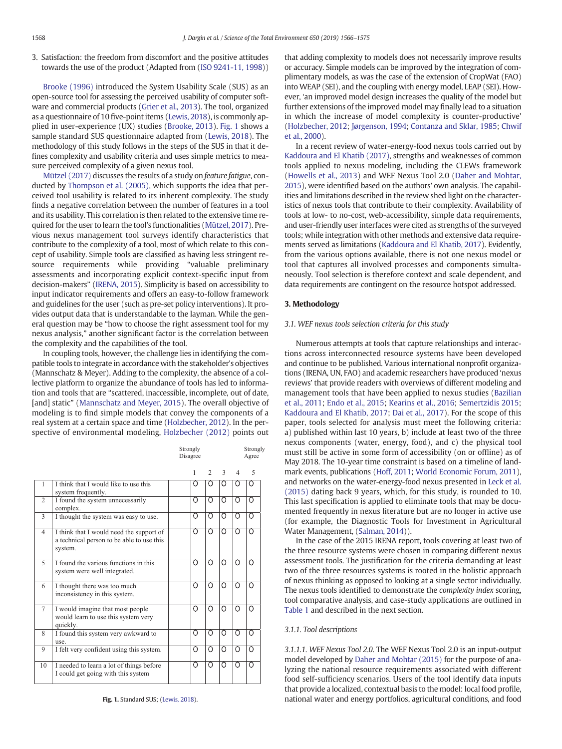3. Satisfaction: the freedom from discomfort and the positive attitudes towards the use of the product (Adapted from ([ISO 9241-11, 1998\)](#page-9-0))

[Brooke \(1996\)](#page-8-0) introduced the System Usability Scale (SUS) as an open-source tool for assessing the perceived usability of computer software and commercial products [\(Grier et al., 2013](#page-8-0)). The tool, organized as a questionnaire of 10 five-point items [\(Lewis, 2018\)](#page-9-0), is commonly applied in user-experience (UX) studies ([Brooke, 2013\)](#page-8-0). Fig. 1 shows a sample standard SUS questionnaire adapted from ([Lewis, 2018\)](#page-9-0). The methodology of this study follows in the steps of the SUS in that it defines complexity and usability criteria and uses simple metrics to measure perceived complexity of a given nexus tool.

[Mützel \(2017\)](#page-9-0) discusses the results of a study on feature fatigue, conducted by [Thompson et al. \(2005\),](#page-9-0) which supports the idea that perceived tool usability is related to its inherent complexity. The study finds a negative correlation between the number of features in a tool and its usability. This correlation is then related to the extensive time required for the user to learn the tool's functionalities [\(Mützel, 2017](#page-9-0)). Previous nexus management tool surveys identify characteristics that contribute to the complexity of a tool, most of which relate to this concept of usability. Simple tools are classified as having less stringent resource requirements while providing "valuable preliminary assessments and incorporating explicit context-specific input from decision-makers" [\(IRENA, 2015\)](#page-9-0). Simplicity is based on accessibility to input indicator requirements and offers an easy-to-follow framework and guidelines for the user (such as pre-set policy interventions). It provides output data that is understandable to the layman. While the general question may be "how to choose the right assessment tool for my nexus analysis," another significant factor is the correlation between the complexity and the capabilities of the tool.

In coupling tools, however, the challenge lies in identifying the compatible tools to integrate in accordance with the stakeholder's objectives (Mannschatz & Meyer). Adding to the complexity, the absence of a collective platform to organize the abundance of tools has led to information and tools that are "scattered, inaccessible, incomplete, out of date, [and] static" [\(Mannschatz and Meyer, 2015\)](#page-9-0). The overall objective of modeling is to find simple models that convey the components of a real system at a certain space and time ([Holzbecher, 2012\)](#page-9-0). In the perspective of environmental modeling, [Holzbecher \(2012\)](#page-9-0) points out

Strongly

Strongly

|                |                                                                                                  | Disagree |                |               | Agree    |   |  |
|----------------|--------------------------------------------------------------------------------------------------|----------|----------------|---------------|----------|---|--|
|                |                                                                                                  | 1        | $\mathfrak{D}$ | $\mathcal{L}$ | 4        | 5 |  |
| 1              | I think that I would like to use this<br>system frequently.                                      | Ω        | Ω              | ∩             | Ω        | Ω |  |
| $\overline{c}$ | I found the system unnecessarily<br>complex.                                                     | Ω        | Ω              | ∩             | Ω        | ∩ |  |
| 3              | I thought the system was easy to use.                                                            | Ω        | Ω              | ∩             | ∩        | ∩ |  |
| $\overline{4}$ | I think that I would need the support of<br>a technical person to be able to use this<br>system. | Ω        | Ω              | ∩             | ∩        | ∩ |  |
| $\sim$         | I found the various functions in this<br>system were well integrated.                            | Ω        | Ω              | Ω             | ∩        | ∩ |  |
| 6              | I thought there was too much<br>inconsistency in this system.                                    | Ω        | Ω              | ∩             | ∩        | ∩ |  |
| $\tau$         | I would imagine that most people<br>would learn to use this system very<br>quickly.              | Ω        | Ω              | ∩             | Ω        | ∩ |  |
| 8              | I found this system very awkward to<br>use.                                                      | Ω        | Ω              | ∩             | Ω        | Ω |  |
| 9              | I felt very confident using this system.                                                         | Ο        | Ω              | Ω             | $\Omega$ | Ω |  |
| 10             | I needed to learn a lot of things before<br>I could get going with this system                   | Ω        | Ω              | Ω             | Ω        | ∩ |  |

Fig. 1. Standard SUS; [\(Lewis, 2018\)](#page-9-0).

that adding complexity to models does not necessarily improve results or accuracy. Simple models can be improved by the integration of complimentary models, as was the case of the extension of CropWat (FAO) into WEAP (SEI), and the coupling with energy model, LEAP (SEI). However, 'an improved model design increases the quality of the model but further extensions of the improved model may finally lead to a situation in which the increase of model complexity is counter-productive' [\(Holzbecher, 2012;](#page-9-0) [Jørgenson, 1994;](#page-9-0) [Contanza and Sklar, 1985;](#page-8-0) [Chwif](#page-8-0) [et al., 2000](#page-8-0)).

In a recent review of water-energy-food nexus tools carried out by [Kaddoura and El Khatib \(2017\),](#page-9-0) strengths and weaknesses of common tools applied to nexus modeling, including the CLEWs framework [\(Howells et al., 2013\)](#page-9-0) and WEF Nexus Tool 2.0 ([Daher and Mohtar,](#page-8-0) [2015\)](#page-8-0), were identified based on the authors' own analysis. The capabilities and limitations described in the review shed light on the characteristics of nexus tools that contribute to their complexity. Availability of tools at low- to no-cost, web-accessibility, simple data requirements, and user-friendly user interfaces were cited as strengths of the surveyed tools; while integration with other methods and extensive data requirements served as limitations ([Kaddoura and El Khatib, 2017](#page-9-0)). Evidently, from the various options available, there is not one nexus model or tool that captures all involved processes and components simultaneously. Tool selection is therefore context and scale dependent, and data requirements are contingent on the resource hotspot addressed.

# 3. Methodology

# 3.1. WEF nexus tools selection criteria for this study

Numerous attempts at tools that capture relationships and interactions across interconnected resource systems have been developed and continue to be published. Various international nonprofit organizations (IRENA, UN, FAO) and academic researchers have produced 'nexus reviews' that provide readers with overviews of different modeling and management tools that have been applied to nexus studies ([Bazilian](#page-8-0) [et al., 2011;](#page-8-0) [Endo et al., 2015](#page-8-0); [Kearins et al., 2016;](#page-9-0) [Semertzidis 2015](#page-9-0); [Kaddoura and El Khatib, 2017](#page-9-0); [Dai et al., 2017\)](#page-8-0). For the scope of this paper, tools selected for analysis must meet the following criteria: a) published within last 10 years, b) include at least two of the three nexus components (water, energy, food), and c) the physical tool must still be active in some form of accessibility (on or offline) as of May 2018. The 10-year time constraint is based on a timeline of landmark events, publications ([Hoff, 2011;](#page-8-0) [World Economic Forum, 2011\)](#page-9-0), and networks on the water-energy-food nexus presented in [Leck et al.](#page-9-0) [\(2015\)](#page-9-0) dating back 9 years, which, for this study, is rounded to 10. This last specification is applied to eliminate tools that may be documented frequently in nexus literature but are no longer in active use (for example, the Diagnostic Tools for Investment in Agricultural Water Management, [\(Salman, 2014\)](#page-9-0)).

In the case of the 2015 IRENA report, tools covering at least two of the three resource systems were chosen in comparing different nexus assessment tools. The justification for the criteria demanding at least two of the three resources systems is rooted in the holistic approach of nexus thinking as opposed to looking at a single sector individually. The nexus tools identified to demonstrate the complexity index scoring, tool comparative analysis, and case-study applications are outlined in [Table 1](#page-3-0) and described in the next section.

# 3.1.1. Tool descriptions

3.1.1.1. WEF Nexus Tool 2.0. The WEF Nexus Tool 2.0 is an input-output model developed by [Daher and Mohtar \(2015\)](#page-8-0) for the purpose of analyzing the national resource requirements associated with different food self-sufficiency scenarios. Users of the tool identify data inputs that provide a localized, contextual basis to the model: local food profile, national water and energy portfolios, agricultural conditions, and food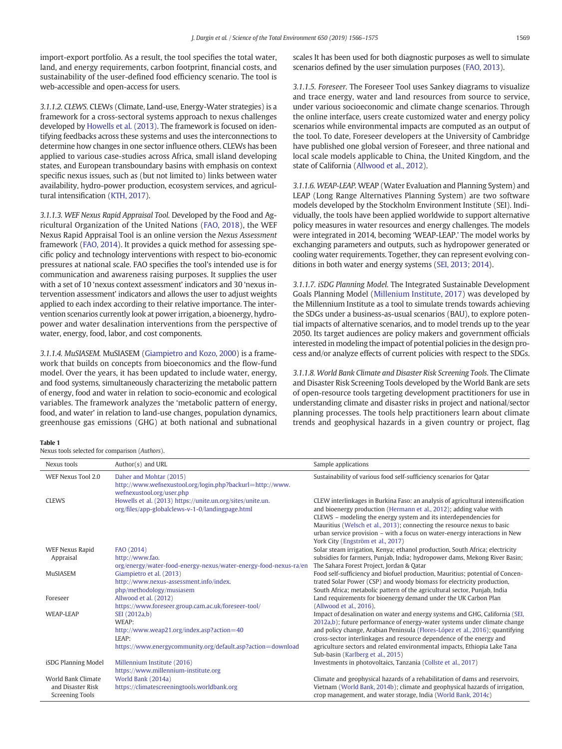<span id="page-3-0"></span>import-export portfolio. As a result, the tool specifies the total water, land, and energy requirements, carbon footprint, financial costs, and sustainability of the user-defined food efficiency scenario. The tool is web-accessible and open-access for users.

3.1.1.2. CLEWS. CLEWs (Climate, Land-use, Energy-Water strategies) is a framework for a cross-sectoral systems approach to nexus challenges developed by [Howells et al. \(2013\)](#page-9-0). The framework is focused on identifying feedbacks across these systems and uses the interconnections to determine how changes in one sector influence others. CLEWs has been applied to various case-studies across Africa, small island developing states, and European transboundary basins with emphasis on context specific nexus issues, such as (but not limited to) links between water availability, hydro-power production, ecosystem services, and agricultural intensification ([KTH, 2017](#page-9-0)).

3.1.1.3. WEF Nexus Rapid Appraisal Tool. Developed by the Food and Agricultural Organization of the United Nations ([FAO, 2018\)](#page-8-0), the WEF Nexus Rapid Appraisal Tool is an online version the Nexus Assessment framework ([FAO, 2014\)](#page-8-0). It provides a quick method for assessing specific policy and technology interventions with respect to bio-economic pressures at national scale. FAO specifies the tool's intended use is for communication and awareness raising purposes. It supplies the user with a set of 10 'nexus context assessment' indicators and 30 'nexus intervention assessment' indicators and allows the user to adjust weights applied to each index according to their relative importance. The intervention scenarios currently look at power irrigation, a bioenergy, hydropower and water desalination interventions from the perspective of water, energy, food, labor, and cost components.

3.1.1.4. MuSIASEM. MuSIASEM ([Giampietro and Kozo, 2000](#page-8-0)) is a framework that builds on concepts from bioeconomics and the flow-fund model. Over the years, it has been updated to include water, energy, and food systems, simultaneously characterizing the metabolic pattern of energy, food and water in relation to socio-economic and ecological variables. The framework analyzes the 'metabolic pattern of energy, food, and water' in relation to land-use changes, population dynamics, greenhouse gas emissions (GHG) at both national and subnational

## Table 1

Nexus tools selected for comparison (Authors).

scales It has been used for both diagnostic purposes as well to simulate scenarios defined by the user simulation purposes ([FAO, 2013](#page-8-0)).

3.1.1.5. Foreseer. The Foreseer Tool uses Sankey diagrams to visualize and trace energy, water and land resources from source to service, under various socioeconomic and climate change scenarios. Through the online interface, users create customized water and energy policy scenarios while environmental impacts are computed as an output of the tool. To date, Foreseer developers at the University of Cambridge have published one global version of Foreseer, and three national and local scale models applicable to China, the United Kingdom, and the state of California [\(Allwood et al., 2012](#page-8-0)).

3.1.1.6. WEAP-LEAP. WEAP (Water Evaluation and Planning System) and LEAP (Long Range Alternatives Planning System) are two software models developed by the Stockholm Environment Institute (SEI). Individually, the tools have been applied worldwide to support alternative policy measures in water resources and energy challenges. The models were integrated in 2014, becoming 'WEAP-LEAP.' The model works by exchanging parameters and outputs, such as hydropower generated or cooling water requirements. Together, they can represent evolving conditions in both water and energy systems [\(SEI, 2013; 2014](#page-9-0)).

3.1.1.7. iSDG Planning Model. The Integrated Sustainable Development Goals Planning Model [\(Millenium Institute, 2017\)](#page-9-0) was developed by the Millennium Institute as a tool to simulate trends towards achieving the SDGs under a business-as-usual scenarios (BAU), to explore potential impacts of alternative scenarios, and to model trends up to the year 2050. Its target audiences are policy makers and government officials interested in modeling the impact of potential policies in the design process and/or analyze effects of current policies with respect to the SDGs.

3.1.1.8. World Bank Climate and Disaster Risk Screening Tools. The Climate and Disaster Risk Screening Tools developed by the World Bank are sets of open-resource tools targeting development practitioners for use in understanding climate and disaster risks in project and national/sector planning processes. The tools help practitioners learn about climate trends and geophysical hazards in a given country or project, flag

| Nexus tools                                 | Author(s) and URL                                                                                                 | Sample applications                                                                                                                                                                                                                                                                                                                                                                                                     |
|---------------------------------------------|-------------------------------------------------------------------------------------------------------------------|-------------------------------------------------------------------------------------------------------------------------------------------------------------------------------------------------------------------------------------------------------------------------------------------------------------------------------------------------------------------------------------------------------------------------|
| WEF Nexus Tool 2.0                          | Daher and Mohtar (2015)<br>http://www.wefnexustool.org/login.php?backurl=http://www.<br>wefnexustool.org/user.php | Sustainability of various food self-sufficiency scenarios for Qatar                                                                                                                                                                                                                                                                                                                                                     |
| <b>CLEWS</b>                                | Howells et al. (2013) https://unite.un.org/sites/unite.un.<br>org/files/app-globalclews-v-1-0/landingpage.html    | CLEW interlinkages in Burkina Faso: an analysis of agricultural intensification<br>and bioenergy production (Hermann et al., 2012); adding value with<br>CLEWS – modeling the energy system and its interdependencies for<br>Mauritius (Welsch et al., 2013); connecting the resource nexus to basic<br>urban service provision – with a focus on water-energy interactions in New<br>York City (Engström et al., 2017) |
| <b>WEF Nexus Rapid</b>                      | FAO (2014)                                                                                                        | Solar steam irrigation, Kenya; ethanol production, South Africa; electricity                                                                                                                                                                                                                                                                                                                                            |
| Appraisal                                   | http://www.fao.                                                                                                   | subsidies for farmers, Punjab, India; hydropower dams, Mekong River Basin;                                                                                                                                                                                                                                                                                                                                              |
|                                             | org/energy/water-food-energy-nexus/water-energy-food-nexus-ra/en                                                  | The Sahara Forest Project, Jordan & Qatar                                                                                                                                                                                                                                                                                                                                                                               |
| MuSIASEM                                    | Giampietro et al. (2013)                                                                                          | Food self-sufficiency and biofuel production, Mauritius; potential of Concen-                                                                                                                                                                                                                                                                                                                                           |
|                                             | http://www.nexus-assessment.info/index.                                                                           | trated Solar Power (CSP) and woody biomass for electricity production,                                                                                                                                                                                                                                                                                                                                                  |
|                                             | php/methodology/musiasem                                                                                          | South Africa; metabolic pattern of the agricultural sector, Punjab, India                                                                                                                                                                                                                                                                                                                                               |
| Foreseer                                    | Allwood et al. (2012)                                                                                             | Land requirements for bioenergy demand under the UK Carbon Plan                                                                                                                                                                                                                                                                                                                                                         |
|                                             | https://www.foreseer.group.cam.ac.uk/foreseer-tool/                                                               | (Allwood et al., 2016).                                                                                                                                                                                                                                                                                                                                                                                                 |
| <b>WEAP-LEAP</b>                            | SEI (2012a,b)                                                                                                     | Impact of desalination on water and energy systems and GHG, California (SEI,                                                                                                                                                                                                                                                                                                                                            |
|                                             | WEAP:                                                                                                             | 2012a,b); future performance of energy-water systems under climate change                                                                                                                                                                                                                                                                                                                                               |
|                                             | http://www.weap21.org/index.asp?action=40                                                                         | and policy change, Arabian Peninsula (Flores-López et al., 2016); quantifying                                                                                                                                                                                                                                                                                                                                           |
|                                             | LEAP:                                                                                                             | cross-sector interlinkages and resource dependence of the energy and                                                                                                                                                                                                                                                                                                                                                    |
|                                             | https://www.energycommunity.org/default.asp?action=download                                                       | agriculture sectors and related environmental impacts, Ethiopia Lake Tana                                                                                                                                                                                                                                                                                                                                               |
|                                             |                                                                                                                   | Sub-basin (Karlberg et al., 2015)                                                                                                                                                                                                                                                                                                                                                                                       |
| iSDG Planning Model                         | Millennium Institute (2016)                                                                                       | Investments in photovoltaics, Tanzania (Collste et al., 2017)                                                                                                                                                                                                                                                                                                                                                           |
|                                             | https://www.millennium-institute.org                                                                              |                                                                                                                                                                                                                                                                                                                                                                                                                         |
| World Bank Climate                          | World Bank (2014a)                                                                                                | Climate and geophysical hazards of a rehabilitation of dams and reservoirs,                                                                                                                                                                                                                                                                                                                                             |
| and Disaster Risk<br><b>Screening Tools</b> | https://climatescreeningtools.worldbank.org                                                                       | Vietnam (World Bank, 2014b); climate and geophysical hazards of irrigation,<br>crop management, and water storage, India (World Bank, 2014c)                                                                                                                                                                                                                                                                            |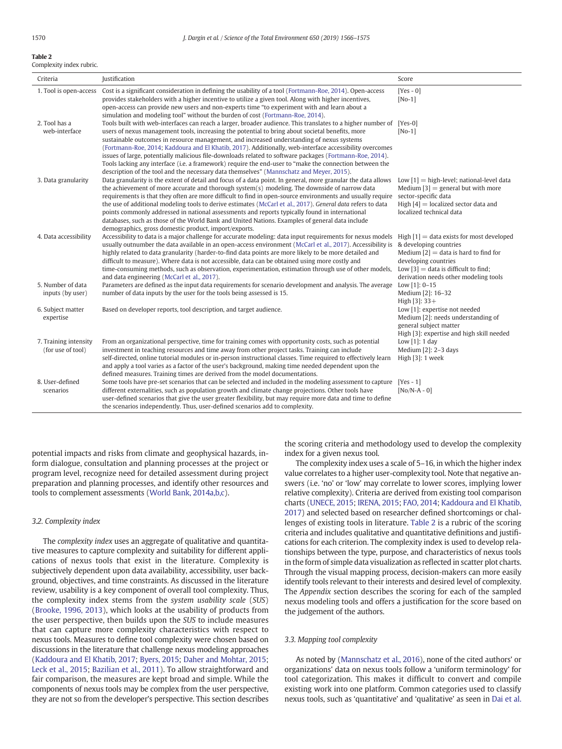## Table 2

Complexity index rubric.

| Criteria                                   | Justification                                                                                                                                                                                                                                                                                                                                                                                                                                                                                                                                                                                                                                                                                                                              | Score                                                                                                                                                                             |
|--------------------------------------------|--------------------------------------------------------------------------------------------------------------------------------------------------------------------------------------------------------------------------------------------------------------------------------------------------------------------------------------------------------------------------------------------------------------------------------------------------------------------------------------------------------------------------------------------------------------------------------------------------------------------------------------------------------------------------------------------------------------------------------------------|-----------------------------------------------------------------------------------------------------------------------------------------------------------------------------------|
| 1. Tool is open-access                     | Cost is a significant consideration in defining the usability of a tool (Fortmann-Roe, 2014). Open-access<br>provides stakeholders with a higher incentive to utilize a given tool. Along with higher incentives,<br>open-access can provide new users and non-experts time "to experiment with and learn about a<br>simulation and modeling tool" without the burden of cost (Fortmann-Roe, 2014).                                                                                                                                                                                                                                                                                                                                        | $[Yes - 0]$<br>$[No-1]$                                                                                                                                                           |
| 2. Tool has a<br>web-interface             | Tools built with web-interfaces can reach a larger, broader audience. This translates to a higher number of<br>users of nexus management tools, increasing the potential to bring about societal benefits, more<br>sustainable outcomes in resource management, and increased understanding of nexus systems<br>(Fortmann-Roe, 2014; Kaddoura and El Khatib, 2017). Additionally, web-interface accessibility overcomes<br>issues of large, potentially malicious file-downloads related to software packages (Fortmann-Roe, 2014).<br>Tools lacking any interface (i.e. a framework) require the end-user to "make the connection between the<br>description of the tool and the necessary data themselves" (Mannschatz and Meyer, 2015). | $[Yes-0]$<br>$[No-1]$                                                                                                                                                             |
| 3. Data granularity                        | Data granularity is the extent of detail and focus of a data point. In general, more granular the data allows<br>the achievement of more accurate and thorough system(s) modeling. The downside of narrow data<br>requirements is that they often are more difficult to find in open-source environments and usually require<br>the use of additional modeling tools to derive estimates (McCarl et al., 2017). General data refers to data<br>points commonly addressed in national assessments and reports typically found in international<br>databases, such as those of the World Bank and United Nations. Examples of general data include<br>demographics, gross domestic product, import/exports.                                  | Low $[1]$ = high-level; national-level data<br>Medium $[3]$ = general but with more<br>sector-specific data<br>High $[4]$ = localized sector data and<br>localized technical data |
| 4. Data accessibility                      | Accessibility to data is a major challenge for accurate modeling: data input requirements for nexus models $\text{High }[1] = \text{data exists}$ for most developed<br>usually outnumber the data available in an open-access environment (McCarl et al., 2017). Accessibility is<br>highly related to data granularity (harder-to-find data points are more likely to be more detailed and<br>difficult to measure). Where data is not accessible, data can be obtained using more costly and<br>time-consuming methods, such as observation, experimentation, estimation through use of other models,<br>and data engineering (McCarl et al., 2017).                                                                                    | & developing countries<br>Medium $[2]$ = data is hard to find for<br>developing countries<br>Low $[3]$ = data is difficult to find;<br>derivation needs other modeling tools      |
| 5. Number of data<br>inputs (by user)      | Parameters are defined as the input data requirements for scenario development and analysis. The average<br>number of data inputs by the user for the tools being assessed is 15.                                                                                                                                                                                                                                                                                                                                                                                                                                                                                                                                                          | Low $[1]$ : 0-15<br>Medium [2]: 16-32<br>High $[3]$ : 33+                                                                                                                         |
| 6. Subject matter<br>expertise             | Based on developer reports, tool description, and target audience.                                                                                                                                                                                                                                                                                                                                                                                                                                                                                                                                                                                                                                                                         | Low [1]: expertise not needed<br>Medium [2]: needs understanding of<br>general subject matter<br>High [3]: expertise and high skill needed                                        |
| 7. Training intensity<br>(for use of tool) | From an organizational perspective, time for training comes with opportunity costs, such as potential<br>investment in teaching resources and time away from other project tasks. Training can include<br>self-directed, online tutorial modules or in-person instructional classes. Time required to effectively learn<br>and apply a tool varies as a factor of the user's background, making time needed dependent upon the<br>defined measures. Training times are derived from the model documentations.                                                                                                                                                                                                                              | Low $[1]$ : 1 day<br>Medium [2]: 2-3 days<br>High [3]: 1 week                                                                                                                     |
| 8. User-defined<br>scenarios               | Some tools have pre-set scenarios that can be selected and included in the modeling assessment to capture<br>different externalities, such as population growth and climate change projections. Other tools have<br>user-defined scenarios that give the user greater flexibility, but may require more data and time to define<br>the scenarios independently. Thus, user-defined scenarios add to complexity.                                                                                                                                                                                                                                                                                                                            | $[Yes - 1]$<br>$[No/N-A - 0]$                                                                                                                                                     |

potential impacts and risks from climate and geophysical hazards, inform dialogue, consultation and planning processes at the project or program level, recognize need for detailed assessment during project preparation and planning processes, and identify other resources and tools to complement assessments ([World Bank, 2014a,b,c\)](#page-9-0).

# 3.2. Complexity index

The complexity index uses an aggregate of qualitative and quantitative measures to capture complexity and suitability for different applications of nexus tools that exist in the literature. Complexity is subjectively dependent upon data availability, accessibility, user background, objectives, and time constraints. As discussed in the literature review, usability is a key component of overall tool complexity. Thus, the complexity index stems from the system usability scale (SUS) [\(Brooke, 1996, 2013\)](#page-8-0), which looks at the usability of products from the user perspective, then builds upon the SUS to include measures that can capture more complexity characteristics with respect to nexus tools. Measures to define tool complexity were chosen based on discussions in the literature that challenge nexus modeling approaches [\(Kaddoura and El Khatib, 2017](#page-9-0); [Byers, 2015;](#page-8-0) [Daher and Mohtar, 2015](#page-8-0); [Leck et al., 2015;](#page-9-0) [Bazilian et al., 2011](#page-8-0)). To allow straightforward and fair comparison, the measures are kept broad and simple. While the components of nexus tools may be complex from the user perspective, they are not so from the developer's perspective. This section describes the scoring criteria and methodology used to develop the complexity index for a given nexus tool.

The complexity index uses a scale of 5–16, in which the higher index value correlates to a higher user-complexity tool. Note that negative answers (i.e. 'no' or 'low' may correlate to lower scores, implying lower relative complexity). Criteria are derived from existing tool comparison charts ([UNECE, 2015;](#page-9-0) [IRENA, 2015;](#page-9-0) [FAO, 2014](#page-8-0); [Kaddoura and El Khatib,](#page-9-0) [2017\)](#page-9-0) and selected based on researcher defined shortcomings or challenges of existing tools in literature. Table 2 is a rubric of the scoring criteria and includes qualitative and quantitative definitions and justifications for each criterion. The complexity index is used to develop relationships between the type, purpose, and characteristics of nexus tools in the form of simple data visualization as reflected in scatter plot charts. Through the visual mapping process, decision-makers can more easily identify tools relevant to their interests and desired level of complexity. The Appendix section describes the scoring for each of the sampled nexus modeling tools and offers a justification for the score based on the judgement of the authors.

#### 3.3. Mapping tool complexity

As noted by [\(Mannschatz et al., 2016\)](#page-9-0), none of the cited authors' or organizations' data on nexus tools follow a 'uniform terminology' for tool categorization. This makes it difficult to convert and compile existing work into one platform. Common categories used to classify nexus tools, such as 'quantitative' and 'qualitative' as seen in [Dai et al.](#page-8-0)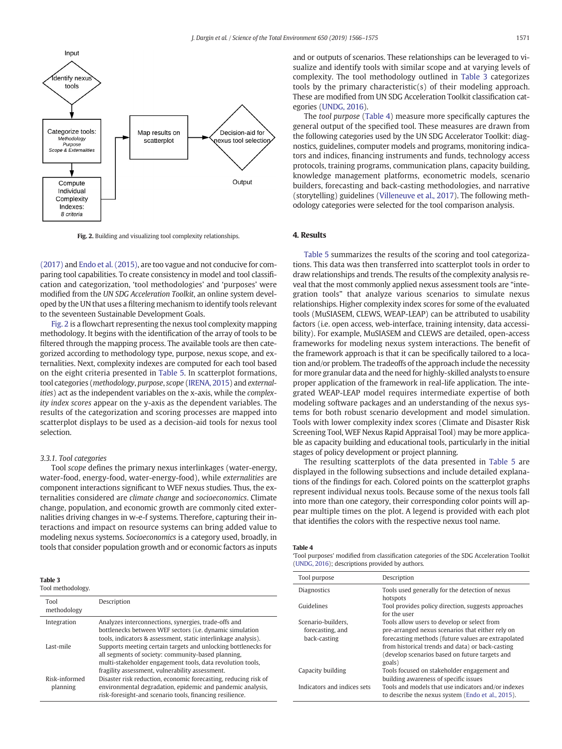

Fig. 2. Building and visualizing tool complexity relationships.

[\(2017\)](#page-8-0) and [Endo et al. \(2015\),](#page-8-0) are too vague and not conducive for comparing tool capabilities. To create consistency in model and tool classification and categorization, 'tool methodologies' and 'purposes' were modified from the UN SDG Acceleration Toolkit, an online system developed by the UN that uses a filtering mechanism to identify tools relevant to the seventeen Sustainable Development Goals.

Fig. 2 is a flowchart representing the nexus tool complexity mapping methodology. It begins with the identification of the array of tools to be filtered through the mapping process. The available tools are then categorized according to methodology type, purpose, nexus scope, and externalities. Next, complexity indexes are computed for each tool based on the eight criteria presented in [Table 5](#page-6-0). In scatterplot formations, tool categories (methodology, purpose, scope ([IRENA, 2015](#page-9-0)) and externalities) act as the independent variables on the x-axis, while the complexity index scores appear on the y-axis as the dependent variables. The results of the categorization and scoring processes are mapped into scatterplot displays to be used as a decision-aid tools for nexus tool selection.

#### 3.3.1. Tool categories

Tool scope defines the primary nexus interlinkages (water-energy, water-food, energy-food, water-energy-food), while externalities are component interactions significant to WEF nexus studies. Thus, the externalities considered are climate change and socioeconomics. Climate change, population, and economic growth are commonly cited externalities driving changes in w-e-f systems. Therefore, capturing their interactions and impact on resource systems can bring added value to modeling nexus systems. Socioeconomics is a category used, broadly, in tools that consider population growth and or economic factors as inputs

# Table 3

Tool methodology.

| Tool<br>methodology       | Description                                                                                                                                                                                                                           |
|---------------------------|---------------------------------------------------------------------------------------------------------------------------------------------------------------------------------------------------------------------------------------|
| Integration               | Analyzes interconnections, synergies, trade-offs and<br>bottlenecks between WEF sectors (i.e. dynamic simulation<br>tools, indicators & assessment, static interlinkage analysis).                                                    |
| Last-mile                 | Supports meeting certain targets and unlocking bottlenecks for<br>all segments of society: community-based planning,<br>multi-stakeholder engagement tools, data revolution tools,<br>fragility assessment, vulnerability assessment. |
| Risk-informed<br>planning | Disaster risk reduction, economic forecasting, reducing risk of<br>environmental degradation, epidemic and pandemic analysis,<br>risk-foresight-and scenario tools, financing resilience.                                             |

and or outputs of scenarios. These relationships can be leveraged to visualize and identify tools with similar scope and at varying levels of complexity. The tool methodology outlined in Table 3 categorizes tools by the primary characteristic(s) of their modeling approach. These are modified from UN SDG Acceleration Toolkit classification categories ([UNDG, 2016](#page-9-0)).

The tool purpose (Table 4) measure more specifically captures the general output of the specified tool. These measures are drawn from the following categories used by the UN SDG Accelerator Toolkit: diagnostics, guidelines, computer models and programs, monitoring indicators and indices, financing instruments and funds, technology access protocols, training programs, communication plans, capacity building, knowledge management platforms, econometric models, scenario builders, forecasting and back-casting methodologies, and narrative (storytelling) guidelines [\(Villeneuve et al., 2017](#page-9-0)). The following methodology categories were selected for the tool comparison analysis.

# 4. Results

[Table 5](#page-6-0) summarizes the results of the scoring and tool categorizations. This data was then transferred into scatterplot tools in order to draw relationships and trends. The results of the complexity analysis reveal that the most commonly applied nexus assessment tools are "integration tools" that analyze various scenarios to simulate nexus relationships. Higher complexity index scores for some of the evaluated tools (MuSIASEM, CLEWS, WEAP-LEAP) can be attributed to usability factors (i.e. open access, web-interface, training intensity, data accessibility). For example, MuSIASEM and CLEWS are detailed, open-access frameworks for modeling nexus system interactions. The benefit of the framework approach is that it can be specifically tailored to a location and/or problem. The tradeoffs of the approach include the necessity for more granular data and the need for highly-skilled analysts to ensure proper application of the framework in real-life application. The integrated WEAP-LEAP model requires intermediate expertise of both modeling software packages and an understanding of the nexus systems for both robust scenario development and model simulation. Tools with lower complexity index scores (Climate and Disaster Risk Screening Tool, WEF Nexus Rapid Appraisal Tool) may be more applicable as capacity building and educational tools, particularly in the initial stages of policy development or project planning.

The resulting scatterplots of the data presented in [Table 5](#page-6-0) are displayed in the following subsections and include detailed explanations of the findings for each. Colored points on the scatterplot graphs represent individual nexus tools. Because some of the nexus tools fall into more than one category, their corresponding color points will appear multiple times on the plot. A legend is provided with each plot that identifies the colors with the respective nexus tool name.

#### Table 4

'Tool purposes' modified from classification categories of the SDG Acceleration Toolkit [\(UNDG, 2016](#page-9-0)); descriptions provided by authors.

| Tool purpose                                           | Description                                                                                                                                                                                                                                                            |
|--------------------------------------------------------|------------------------------------------------------------------------------------------------------------------------------------------------------------------------------------------------------------------------------------------------------------------------|
| <b>Diagnostics</b>                                     | Tools used generally for the detection of nexus<br>hotspots                                                                                                                                                                                                            |
| Guidelines                                             | Tool provides policy direction, suggests approaches<br>for the user                                                                                                                                                                                                    |
| Scenario-builders.<br>forecasting, and<br>back-casting | Tools allow users to develop or select from<br>pre-arranged nexus scenarios that either rely on<br>forecasting methods (future values are extrapolated<br>from historical trends and data) or back-casting<br>(develop scenarios based on future targets and<br>goals) |
| Capacity building                                      | Tools focused on stakeholder engagement and<br>building awareness of specific issues                                                                                                                                                                                   |
| Indicators and indices sets                            | Tools and models that use indicators and/or indexes<br>to describe the nexus system (Endo et al., 2015).                                                                                                                                                               |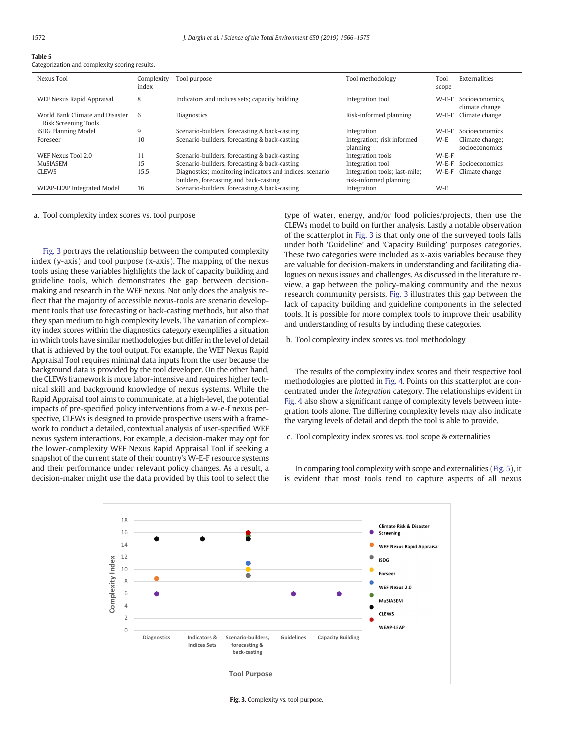# <span id="page-6-0"></span>Table 5

Categorization and complexity scoring results.

| Nexus Tool                                              | Complexity<br>index | Tool purpose                                                                                       | Tool methodology                                        | Tool<br>scope | <b>Externalities</b>              |
|---------------------------------------------------------|---------------------|----------------------------------------------------------------------------------------------------|---------------------------------------------------------|---------------|-----------------------------------|
| WEF Nexus Rapid Appraisal                               | 8                   | Indicators and indices sets; capacity building                                                     | Integration tool                                        | $W-E-F$       | Socioeconomics,<br>climate change |
| World Bank Climate and Disaster<br>Risk Screening Tools | 6                   | <b>Diagnostics</b>                                                                                 | Risk-informed planning                                  | $W-E-F$       | Climate change                    |
| iSDG Planning Model                                     | 9                   | Scenario-builders, forecasting & back-casting                                                      | Integration                                             | $W-E-F$       | Socioeconomics                    |
| Foreseer                                                | 10                  | Scenario-builders, forecasting & back-casting                                                      | Integration; risk informed<br>planning                  | $W-E$         | Climate change;<br>socioeconomics |
| WEF Nexus Tool 2.0                                      | 11                  | Scenario-builders, forecasting & back-casting                                                      | Integration tools                                       | $W-E-F$       |                                   |
| MuSIASEM                                                | 15                  | Scenario-builders, forecasting & back-casting                                                      | Integration tool                                        | $W-E-F$       | Socioeconomics                    |
| <b>CLEWS</b>                                            | 15.5                | Diagnostics; monitoring indicators and indices, scenario<br>builders, forecasting and back-casting | Integration tools; last-mile;<br>risk-informed planning | $W-E-F$       | Climate change                    |
| WEAP-LEAP Integrated Model                              | 16                  | Scenario-builders, forecasting & back-casting                                                      | Integration                                             | $W-E$         |                                   |

a. Tool complexity index scores vs. tool purpose

Fig. 3 portrays the relationship between the computed complexity index (y-axis) and tool purpose (x-axis). The mapping of the nexus tools using these variables highlights the lack of capacity building and guideline tools, which demonstrates the gap between decisionmaking and research in the WEF nexus. Not only does the analysis reflect that the majority of accessible nexus-tools are scenario development tools that use forecasting or back-casting methods, but also that they span medium to high complexity levels. The variation of complexity index scores within the diagnostics category exemplifies a situation in which tools have similar methodologies but differ in the level of detail that is achieved by the tool output. For example, the WEF Nexus Rapid Appraisal Tool requires minimal data inputs from the user because the background data is provided by the tool developer. On the other hand, the CLEWs framework is more labor-intensive and requires higher technical skill and background knowledge of nexus systems. While the Rapid Appraisal tool aims to communicate, at a high-level, the potential impacts of pre-specified policy interventions from a w-e-f nexus perspective, CLEWs is designed to provide prospective users with a framework to conduct a detailed, contextual analysis of user-specified WEF nexus system interactions. For example, a decision-maker may opt for the lower-complexity WEF Nexus Rapid Appraisal Tool if seeking a snapshot of the current state of their country's W-E-F resource systems and their performance under relevant policy changes. As a result, a decision-maker might use the data provided by this tool to select the

type of water, energy, and/or food policies/projects, then use the CLEWs model to build on further analysis. Lastly a notable observation of the scatterplot in Fig. 3 is that only one of the surveyed tools falls under both 'Guideline' and 'Capacity Building' purposes categories. These two categories were included as x-axis variables because they are valuable for decision-makers in understanding and facilitating dialogues on nexus issues and challenges. As discussed in the literature review, a gap between the policy-making community and the nexus research community persists. Fig. 3 illustrates this gap between the lack of capacity building and guideline components in the selected tools. It is possible for more complex tools to improve their usability and understanding of results by including these categories.

b. Tool complexity index scores vs. tool methodology

The results of the complexity index scores and their respective tool methodologies are plotted in [Fig. 4](#page-7-0). Points on this scatterplot are concentrated under the Integration category. The relationships evident in [Fig. 4](#page-7-0) also show a significant range of complexity levels between integration tools alone. The differing complexity levels may also indicate the varying levels of detail and depth the tool is able to provide.

c. Tool complexity index scores vs. tool scope & externalities

In comparing tool complexity with scope and externalities ([Fig. 5\)](#page-7-0), it is evident that most tools tend to capture aspects of all nexus



Fig. 3. Complexity vs. tool purpose.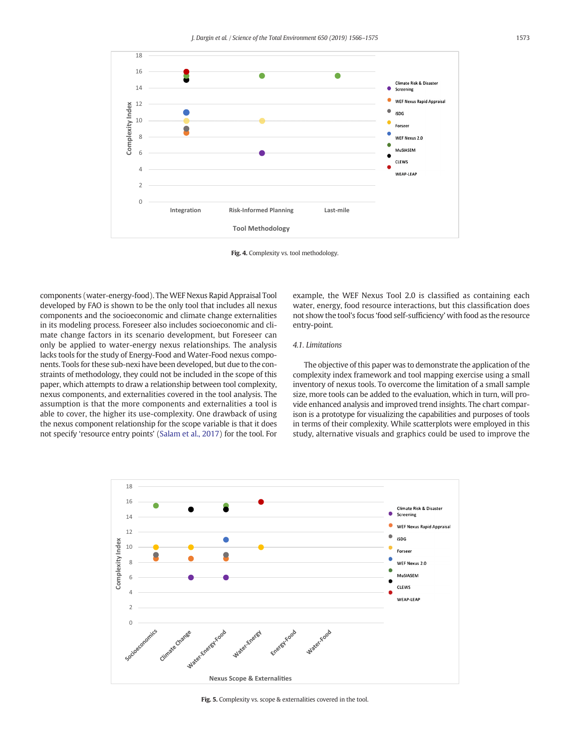<span id="page-7-0"></span>

Fig. 4. Complexity vs. tool methodology.

components (water-energy-food). The WEF Nexus Rapid Appraisal Tool developed by FAO is shown to be the only tool that includes all nexus components and the socioeconomic and climate change externalities in its modeling process. Foreseer also includes socioeconomic and climate change factors in its scenario development, but Foreseer can only be applied to water-energy nexus relationships. The analysis lacks tools for the study of Energy-Food and Water-Food nexus components. Tools for these sub-nexi have been developed, but due to the constraints of methodology, they could not be included in the scope of this paper, which attempts to draw a relationship between tool complexity, nexus components, and externalities covered in the tool analysis. The assumption is that the more components and externalities a tool is able to cover, the higher its use-complexity. One drawback of using the nexus component relationship for the scope variable is that it does not specify 'resource entry points' [\(Salam et al., 2017](#page-9-0)) for the tool. For

example, the WEF Nexus Tool 2.0 is classified as containing each water, energy, food resource interactions, but this classification does not show the tool's focus 'food self-sufficiency' with food as the resource entry-point.

# 4.1. Limitations

The objective of this paper was to demonstrate the application of the complexity index framework and tool mapping exercise using a small inventory of nexus tools. To overcome the limitation of a small sample size, more tools can be added to the evaluation, which in turn, will provide enhanced analysis and improved trend insights. The chart comparison is a prototype for visualizing the capabilities and purposes of tools in terms of their complexity. While scatterplots were employed in this study, alternative visuals and graphics could be used to improve the



Fig. 5. Complexity vs. scope & externalities covered in the tool.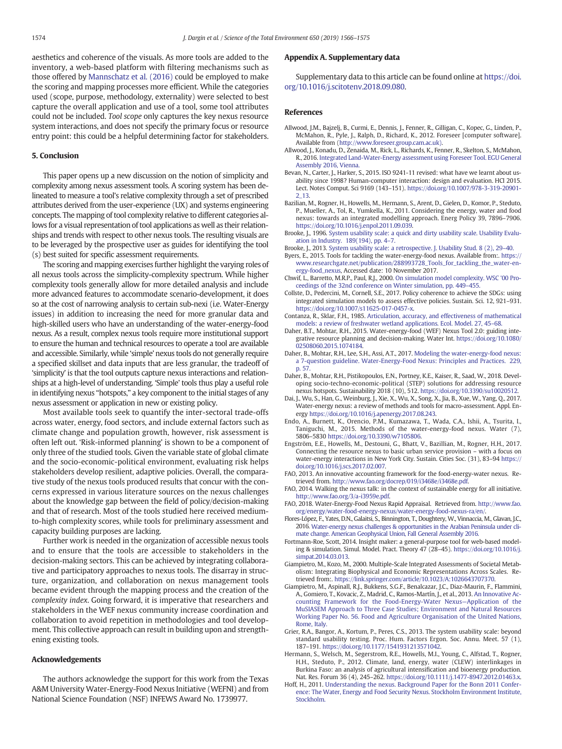<span id="page-8-0"></span>aesthetics and coherence of the visuals. As more tools are added to the inventory, a web-based platform with filtering mechanisms such as those offered by [Mannschatz et al. \(2016\)](#page-9-0) could be employed to make the scoring and mapping processes more efficient. While the categories used (scope, purpose, methodology, externality) were selected to best capture the overall application and use of a tool, some tool attributes could not be included. Tool scope only captures the key nexus resource system interactions, and does not specify the primary focus or resource entry point: this could be a helpful determining factor for stakeholders.

#### 5. Conclusion

This paper opens up a new discussion on the notion of simplicity and complexity among nexus assessment tools. A scoring system has been delineated to measure a tool's relative complexity through a set of prescribed attributes derived from the user-experience (UX) and systems engineering concepts. The mapping of tool complexity relative to different categories allows for a visual representation of tool applications as well as their relationships and trends with respect to other nexus tools. The resulting visuals are to be leveraged by the prospective user as guides for identifying the tool (s) best suited for specific assessment requirements.

The scoring and mapping exercises further highlight the varying roles of all nexus tools across the simplicity-complexity spectrum. While higher complexity tools generally allow for more detailed analysis and include more advanced features to accommodate scenario-development, it does so at the cost of narrowing analysis to certain sub-nexi (i.e. Water-Energy issues) in addition to increasing the need for more granular data and high-skilled users who have an understanding of the water-energy-food nexus. As a result, complex nexus tools require more institutional support to ensure the human and technical resources to operate a tool are available and accessible. Similarly, while 'simple' nexus tools do not generally require a specified skillset and data inputs that are less granular, the tradeoff of 'simplicity' is that the tool outputs capture nexus interactions and relationships at a high-level of understanding. 'Simple' tools thus play a useful role in identifying nexus "hotspots," a key component to the initial stages of any nexus assessment or application in new or existing policy.

Most available tools seek to quantify the inter-sectoral trade-offs across water, energy, food sectors, and include external factors such as climate change and population growth, however, risk assessment is often left out. 'Risk-informed planning' is shown to be a component of only three of the studied tools. Given the variable state of global climate and the socio-economic-political environment, evaluating risk helps stakeholders develop resilient, adaptive policies. Overall, the comparative study of the nexus tools produced results that concur with the concerns expressed in various literature sources on the nexus challenges about the knowledge gap between the field of policy/decision-making and that of research. Most of the tools studied here received mediumto-high complexity scores, while tools for preliminary assessment and capacity building purposes are lacking.

Further work is needed in the organization of accessible nexus tools and to ensure that the tools are accessible to stakeholders in the decision-making sectors. This can be achieved by integrating collaborative and participatory approaches to nexus tools. The disarray in structure, organization, and collaboration on nexus management tools became evident through the mapping process and the creation of the complexity index. Going forward, it is imperative that researchers and stakeholders in the WEF nexus community increase coordination and collaboration to avoid repetition in methodologies and tool development. This collective approach can result in building upon and strengthening existing tools.

# Acknowledgements

The authors acknowledge the support for this work from the Texas A&M University Water-Energy-Food Nexus Initiative (WEFNI) and from National Science Foundation (NSF) INFEWS Award No. 1739977.

# Appendix A. Supplementary data

Supplementary data to this article can be found online at [https://doi.](https://doi.org/10.1016/j.scitotenv.2018.09.080) [org/10.1016/j.scitotenv.2018.09.080.](https://doi.org/10.1016/j.scitotenv.2018.09.080)

# References

- Allwood, J.M., Bajzelj, B., Curmi, E., Dennis, J., Fenner, R., Gilligan, C., Kopec, G., Linden, P., McMahon, R., Pyle, J., Ralph, D., Richard, K., 2012. Foreseer [computer software]. Available from ([http://www.foreseer.group.cam.ac.uk\)](http://www.foreseer.group.cam.ac.uk).
- Allwood, J., Konadu, D., Zenaida, M., Rick, L., Richards, K., Fenner, R., Skelton, S., McMahon, R., 2016. [Integrated Land-Water-Energy assessment using Foreseer Tool. EGU General](http://refhub.elsevier.com/S0048-9697(18)33517-4/rf0005) [Assembly 2016, Vienna](http://refhub.elsevier.com/S0048-9697(18)33517-4/rf0005).
- Bevan, N., Carter, J., Harker, S., 2015. ISO 9241-11 revised: what have we learnt about usability since 1998? Human-computer interaction: design and evaluation. HCI 2015. Lect. Notes Comput. Sci 9169 (143–151). [https://doi.org/10.1007/978-3-319-20901-](https://doi.org/10.1007/978-3-319-20901-2_13) [2\\_13](https://doi.org/10.1007/978-3-319-20901-2_13).
- Bazilian, M., Rogner, H., Howells, M., Hermann, S., Arent, D., Gielen, D., Komor, P., Steduto, P., Mueller, A., Tol, R., Yumkella, K., 2011. Considering the energy, water and food nexus: towards an integrated modelling approach. Energ Policy 39, 7896–7906. [https://doi.org/10.1016/j.enpol.2011.09.039.](https://doi.org/10.1016/j.enpol.2011.09.039)
- Brooke, J., 1996. [System usability scale: a quick and dirty usability scale. Usability Evalu](http://refhub.elsevier.com/S0048-9697(18)33517-4/rf0025)[ation in Industry. 189\(194\), pp. 4](http://refhub.elsevier.com/S0048-9697(18)33517-4/rf0025)–7.
- Brooke, J., 2013. [System usability scale: a retrospective. J. Usability Stud. 8 \(2\), 29](http://refhub.elsevier.com/S0048-9697(18)33517-4/rf0030)–40.
- Byers, E., 2015. Tools for tackling the water-energy-food nexus. Available from:. [https://](https://www.researchgate.net/publication/288993728_Tools_for_tackling_the_water-energy-food_nexus) [www.researchgate.net/publication/288993728\\_Tools\\_for\\_tackling\\_the\\_water-en](https://www.researchgate.net/publication/288993728_Tools_for_tackling_the_water-energy-food_nexus)[ergy-food\\_nexus](https://www.researchgate.net/publication/288993728_Tools_for_tackling_the_water-energy-food_nexus), Accessed date: 10 November 2017.
- Chwif, L., Barretto, M.R.P., Paul, R.J., 2000. [On simulation model complexity. WSC '00 Pro](http://refhub.elsevier.com/S0048-9697(18)33517-4/rf2600)[ceedings of the 32nd conference on Winter simulation, pp. 449](http://refhub.elsevier.com/S0048-9697(18)33517-4/rf2600)–455.
- Collste, D., Pedercini, M., Cornell, S.E., 2017. Policy coherence to achieve the SDGs: using integrated simulation models to assess effective policies. Sustain. Sci. 12, 921–931. [https://doi.org/10.1007/s11625-017-0457-x.](https://doi.org/10.1007/s11625-017-0457-x)
- Contanza, R., Sklar, F.H., 1985. [Articulation, accuracy, and effectiveness of mathematical](http://refhub.elsevier.com/S0048-9697(18)33517-4/rf2500) [models: a review of freshwater wetland applications. Ecol. Model. 27, 45](http://refhub.elsevier.com/S0048-9697(18)33517-4/rf2500)–68.
- Daher, B.T., Mohtar, R.H., 2015. Water-energy-food (WEF) Nexus Tool 2.0: guiding integrative resource planning and decision-making. Water Int. [https://doi.org/10.1080/](https://doi.org/10.1080/02508060.2015.1074184) [02508060.2015.1074184.](https://doi.org/10.1080/02508060.2015.1074184)
- Daher, B., Mohtar, R.H., Lee, S.H., Assi, A.T., 2017. [Modeling the water-energy-food nexus:](http://refhub.elsevier.com/S0048-9697(18)33517-4/rf0055) [a 7-question guideline. Water-Energy-Food Nexus: Principles and Practices. 229,](http://refhub.elsevier.com/S0048-9697(18)33517-4/rf0055) [p. 57.](http://refhub.elsevier.com/S0048-9697(18)33517-4/rf0055)
- Daher, B., Mohtar, R.H., Pistikopoulos, E.N., Portney, K.E., Kaiser, R., Saad, W., 2018. Developing socio-techno-economic-political (STEP) solutions for addressing resource nexus hotspots. Sustainability 2018 (10), 512. [https://doi.org/10.3390/su10020512.](https://doi.org/10.3390/su10020512)
- Dai, J., Wu, S., Han, G., Weinburg, J., Xie, X., Wu, X., Song, X., Jia, B., Xue, W., Yang, Q., 2017. Water-energy nexus: a review of methods and tools for macro-assessment. Appl. Energy <https://doi.org/10.1016/j.apenergy.2017.08.243>.
- Endo, A., Burnett, K., Orencio, P.M., Kumazawa, T., Wada, C.A., Ishii, A., Tsurita, I., Taniguchi, M., 2015. Methods of the water-energy-food nexus. Water (7), 5806–5830 [https://doi.org/10.3390/w7105806.](https://doi.org/10.3390/w7105806)
- Engström, E.E., Howells, M., Destouni, G., Bhatt, V., Bazillian, M., Rogner, H.H., 2017. Connecting the resource nexus to basic urban service provision – with a focus on water-energy interactions in New York City. Sustain. Cities Soc. (31), 83–94 [https://](https://doi.org/10.1016/j.scs.2017.02.007) [doi.org/10.1016/j.scs.2017.02.007](https://doi.org/10.1016/j.scs.2017.02.007).
- FAO, 2013. An innovative accounting framework for the food-energy-water nexus. Retrieved from. [http://www.fao.org/docrep/019/i3468e/i3468e.pdf.](http://www.fao.org/docrep/019/i3468e/i3468e.pdf)
- FAO, 2014. Walking the nexus talk: in the context of sustainable energy for all initiative. <http://www.fao.org/3/a-i3959e.pdf>.
- FAO, 2018. Water-Energy-Food Nexus Rapid Appraisal. Retrieved from. [http://www.fao.](http://www.fao.org/energy/water-food-energy-nexus/water-energy-food-nexus-ra/en/) [org/energy/water-food-energy-nexus/water-energy-food-nexus-ra/en/](http://www.fao.org/energy/water-food-energy-nexus/water-energy-food-nexus-ra/en/).
- Flores-López, F., Yates, D.N., Galaitsi, S., Binnington, T., Doughtery, W., Vinnaccia, M., Glavan, J.C., 2016. [Water-energy nexus challenges & opportunities in the Arabian Peninsula under cli](http://refhub.elsevier.com/S0048-9697(18)33517-4/rf0090)[mate change. American Geophysical](http://refhub.elsevier.com/S0048-9697(18)33517-4/rf0090) Union, Fall General Assembly 2016.
- Fortmann-Roe, Scott, 2014. Insight maker: a general-purpose tool for web-based modeling & simulation. Simul. Model. Pract. Theory 47 (28–45). [https://doi.org/10.1016/j.](https://doi.org/10.1016/j.simpat.2014.03.013) [simpat.2014.03.013](https://doi.org/10.1016/j.simpat.2014.03.013).
- Giampietro, M., Kozo, M., 2000. Multiple-Scale Integrated Assessments of Societal Metabolism: Integrating Biophysical and Economic Representations Across Scales. Retrieved from:. <https://link.springer.com/article/10.1023/A:1026643707370>.
- Giampietro, M., Aspinall, R.J., Bukkens, S.G.F., Benalcazar, J.C., Diaz-Maurin, F., Flammini, A., Gomiero, T., Kovacic, Z., Madrid, C., Ramos-Martín, J., et al., 2013. [An Innovative Ac](http://refhub.elsevier.com/S0048-9697(18)33517-4/rf2000)[counting Framework for the Food-Energy-Water Nexus](http://refhub.elsevier.com/S0048-9697(18)33517-4/rf2000)—Application of the [MuSIASEM Approach to Three Case Studies; Environment and Natural Resources](http://refhub.elsevier.com/S0048-9697(18)33517-4/rf2000) [Working Paper No. 56. Food and Agriculture Organisation of the United Nations,](http://refhub.elsevier.com/S0048-9697(18)33517-4/rf2000) [Rome, Italy.](http://refhub.elsevier.com/S0048-9697(18)33517-4/rf2000)
- Grier, R.A., Bangor, A., Kortum, P., Peres, C.S., 2013. The system usability scale: beyond standard usability testing. Proc. Hum. Factors Ergon. Soc. Annu. Meet. 57 (1), 187–191. [https://doi.org/10.1177/1541931213571042.](https://doi.org/10.1177/1541931213571042)
- Hermann, S., Welsch, M., Segerstrom, R.E., Howells, M.I., Young, C., Alfstad, T., Rogner, H.H., Steduto, P., 2012. Climate, land, energy, water (CLEW) interlinkages in Burkina Faso: an analysis of agricultural intensification and bioenergy production. Nat. Res. Forum 36 (4), 245–262. <https://doi.org/10.1111/j.1477-8947.2012.01463.x>.
- Hoff, H., 2011. [Understanding the nexus. Background Paper for the Bonn 2011 Confer](http://refhub.elsevier.com/S0048-9697(18)33517-4/rf0115)[ence: The Water, Energy and Food Security Nexus. Stockholm Environment Institute,](http://refhub.elsevier.com/S0048-9697(18)33517-4/rf0115) [Stockholm.](http://refhub.elsevier.com/S0048-9697(18)33517-4/rf0115)